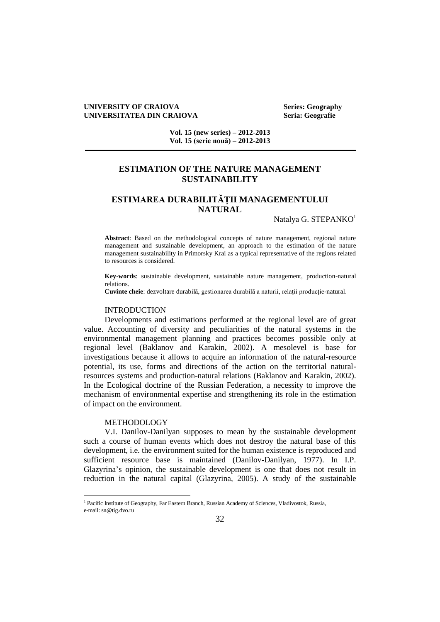### **UNIVERSITY OF CRAIOVA Series: Geography UNIVERSITATEA DIN CRAIOVA Seria: Geografie**

**Vol. 15 (new series) – 2012-2013 Vol. 15 (serie nouă) – 2012-2013**

## **ESTIMATION OF THE NATURE MANAGEMENT SUSTAINABILITY**

# **ESTIMAREA DURABILITĂȚII MANAGEMENTULUI NATURAL**

Natalya G. STEPANKO<sup>1</sup>

**Abstract**: Based on the methodological concepts of nature management, regional nature management and sustainable development, an approach to the estimation of the nature management sustainability in Primorsky Krai as a typical representative of the regions related to resources is considered.

**Key-words**: sustainable development, sustainable nature management, production-natural relations.

**Cuvinte cheie**: dezvoltare durabilă, gestionarea durabilă a naturii, relaţii producţie-natural.

### INTRODUCTION

Developments and estimations performed at the regional level are of great value. Accounting of diversity and peculiarities of the natural systems in the environmental management planning and practices becomes possible only at regional level (Baklanov and Karakin, 2002). A mesolevel is base for investigations because it allows to acquire an information of the natural-resource potential, its use, forms and directions of the action on the territorial naturalresources systems and production-natural relations (Baklanov and Karakin, 2002). In the Ecological doctrine of the Russian Federation, a necessity to improve the mechanism of environmental expertise and strengthening its role in the estimation of impact on the environment.

### METHODOLOGY

 $\overline{a}$ 

V.I. Danilov-Danilyan supposes to mean by the sustainable development such a course of human events which does not destroy the natural base of this development, i.e. the environment suited for the human existence is reproduced and sufficient resource base is maintained (Danilov-Danilyan, 1977). In I.P. Glazyrina's opinion, the sustainable development is one that does not result in reduction in the natural capital (Glazyrina, 2005). A study of the sustainable

<sup>&</sup>lt;sup>1</sup> Pacific Institute of Geography, Far Eastern Branch, Russian Academy of Sciences, Vladivostok, Russia, e-mail: sn@tig.dvo.ru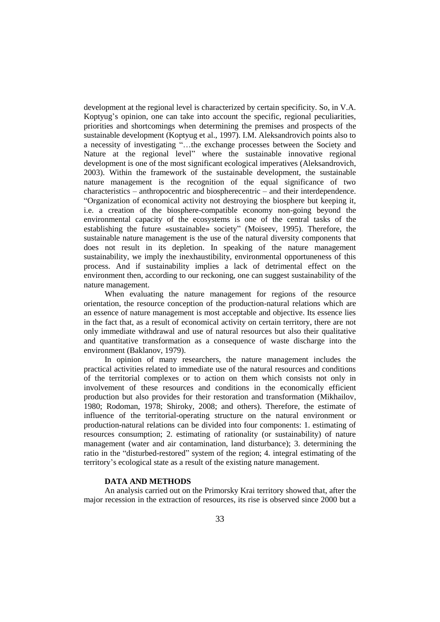development at the regional level is characterized by certain specificity. So, in V.A. Koptyug's opinion, one can take into account the specific, regional peculiarities, priorities and shortcomings when determining the premises and prospects of the sustainable development (Koptyug et al., 1997). I.M. Aleksandrovich points also to a necessity of investigating "…the exchange processes between the Society and Nature at the regional level" where the sustainable innovative regional development is one of the most significant ecological imperatives (Aleksandrovich, 2003). Within the framework of the sustainable development, the sustainable nature management is the recognition of the equal significance of two characteristics – anthropocentric and biospherecentric – and their interdependence. "Organization of economical activity not destroying the biosphere but keeping it, i.e. a creation of the biosphere-compatible economy non-going beyond the environmental capacity of the ecosystems is one of the central tasks of the establishing the future «sustainable» society" (Moiseev, 1995). Therefore, the sustainable nature management is the use of the natural diversity components that does not result in its depletion. In speaking of the nature management sustainability, we imply the inexhaustibility, environmental opportuneness of this process. And if sustainability implies a lack of detrimental effect on the environment then, according to our reckoning, one can suggest sustainability of the nature management.

When evaluating the nature management for regions of the resource orientation, the resource conception of the production-natural relations which are an essence of nature management is most acceptable and objective. Its essence lies in the fact that, as a result of economical activity on certain territory, there are not only immediate withdrawal and use of natural resources but also their qualitative and quantitative transformation as a consequence of waste discharge into the environment (Baklanov, 1979).

In opinion of many researchers, the nature management includes the practical activities related to immediate use of the natural resources and conditions of the territorial complexes or to action on them which consists not only in involvement of these resources and conditions in the economically efficient production but also provides for their restoration and transformation (Mikhailov, 1980; Rodoman, 1978; Shiroky, 2008; and others). Therefore, the estimate of influence of the territorial-operating structure on the natural environment or production-natural relations can be divided into four components: 1. estimating of resources consumption; 2. estimating of rationality (or sustainability) of nature management (water and air contamination, land disturbance); 3. determining the ratio in the "disturbed-restored" system of the region; 4. integral estimating of the territory's ecological state as a result of the existing nature management.

### **DATA AND METHODS**

An analysis carried out on the Primorsky Krai territory showed that, after the major recession in the extraction of resources, its rise is observed since 2000 but a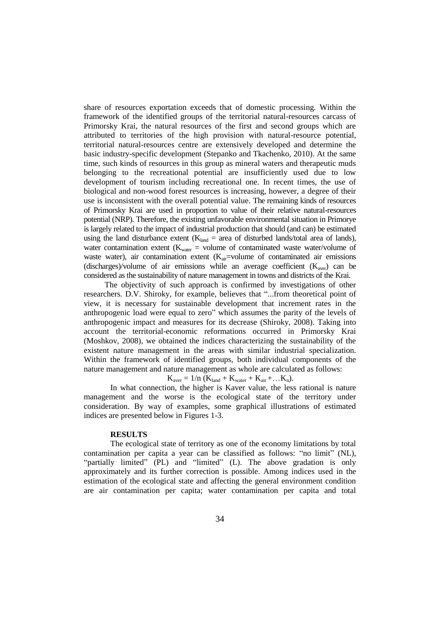share of resources exportation exceeds that of domestic processing. Within the framework of the identified groups of the territorial natural-resources carcass of Primorsky Krai, the natural resources of the first and second groups which are attributed to territories of the high provision with natural-resource potential, territorial natural-resources centre are extensively developed and determine the basic industry-specific development (Stepanko and Tkachenko, 2010). At the same time, such kinds of resources in this group as mineral waters and therapeutic muds belonging to the recreational potential are insufficiently used due to low development of tourism including recreational one. In recent times, the use of biological and non-wood forest resources is increasing, however, a degree of their use is inconsistent with the overall potential value. The remaining kinds of resources of Primorsky Krai are used in proportion to value of their relative natural-resources potential (NRP). Therefore, the existing unfavorable environmental situation in Primorye is largely related to the impact of industrial production that should (and can) be estimated using the land disturbance extent ( $K_{land}$  = area of disturbed lands/total area of lands), water contamination extent ( $K_{water}$  = volume of contaminated waste water/volume of waste water), air contamination extent  $(K_{air}=$ volume of contaminated air emissions (discharges)/volume of air emissions while an average coefficient  $(K_{\text{aver}})$  can be considered as the sustainability of nature management in towns and districts of the Krai.

The objectivity of such approach is confirmed by investigations of other researchers. D.V. Shiroky, for example, believes that "...from theoretical point of view, it is necessary for sustainable development that increment rates in the anthropogenic load were equal to zero" which assumes the parity of the levels of anthropogenic impact and measures for its decrease (Shiroky, 2008). Taking into account the territorial-economic reformations occurred in Primorsky Krai (Moshkov, 2008), we obtained the indices characterizing the sustainability of the existent nature management in the areas with similar industrial specialization. Within the framework of identified groups, both individual components of the nature management and nature management as whole are calculated as follows:

 $K_{\text{aver}} = 1/n$  ( $K_{\text{land}} + K_{\text{water}} + K_{\text{air}} + ... K_n$ ).

In what connection, the higher is Kaver value, the less rational is nature management and the worse is the ecological state of the territory under consideration. By way of examples, some graphical illustrations of estimated indices are presented below in Figures 1-3.

### **RESULTS**

The ecological state of territory as one of the economy limitations by total contamination per capita a year can be classified as follows: "no limit" (NL), "partially limited" (PL) and "limited" (L). The above gradation is only approximately and its further correction is possible. Among indices used in the estimation of the ecological state and affecting the general environment condition are air contamination per capita; water contamination per capita and total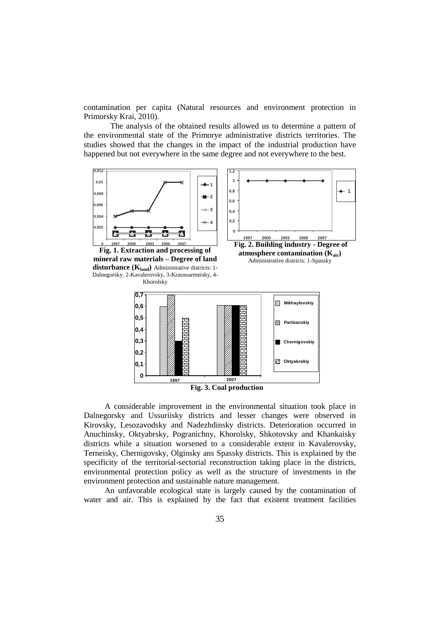contamination per capita (Natural resources and environment protection in Primorsky Krai, 2010).

The analysis of the obtained results allowed us to determine a pattern of the environmental state of the Primorye administrative districts territories. The studies showed that the changes in the impact of the industrial production have happened but not everywhere in the same degree and not everywhere to the best.



**Fig. 1. Extraction and processing of mineral raw materials – Degree of land disturbance (Kland)** Administrative districts: 1- Dalnegorsky, 2-Kavalerovsky, 3-Krasnoarmeisky, 4- Khorolsky







A considerable improvement in the environmental situation took place in Dalnegorsky and Ussuriisky districts and lesser changes were observed in Kirovsky, Lesozavodsky and Nadezhdinsky districts. Deterioration occurred in Anuchinsky, Oktyabrsky, Pogranichny, Khorolsky, Shkotovsky and Khankaisky districts while a situation worsened to a considerable extent in Kavalerovsky, Terneisky, Chernigovsky, Olginsky ans Spassky districts. This is explained by the specificity of the territorial-sectorial reconstruction taking place in the districts, environmental protection policy as well as the structure of investments in the environment protection and sustainable nature management.

An unfavorable ecological state is largely caused by the contamination of water and air. This is explained by the fact that existent treatment facilities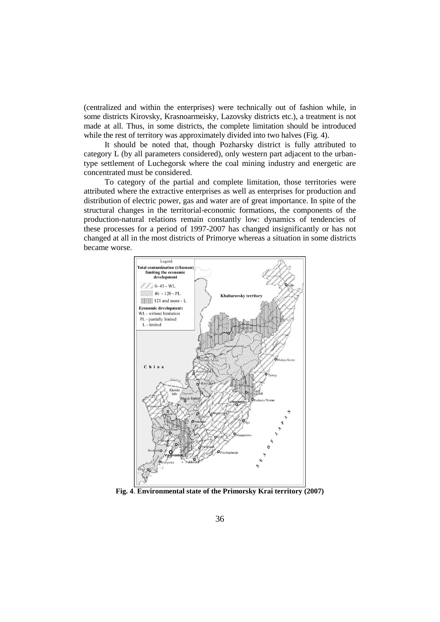(centralized and within the enterprises) were technically out of fashion while, in some districts Kirovsky, Krasnoarmeisky, Lazovsky districts etc.), a treatment is not made at all. Thus, in some districts, the complete limitation should be introduced while the rest of territory was approximately divided into two halves (Fig. 4).

It should be noted that, though Pozharsky district is fully attributed to category L (by all parameters considered), only western part adjacent to the urbantype settlement of Luchegorsk where the coal mining industry and energetic are concentrated must be considered.

To category of the partial and complete limitation, those territories were attributed where the extractive enterprises as well as enterprises for production and distribution of electric power, gas and water are of great importance. In spite of the structural changes in the territorial-economic formations, the components of the production-natural relations remain constantly low: dynamics of tendencies of these processes for a period of 1997-2007 has changed insignificantly or has not changed at all in the most districts of Primorye whereas a situation in some districts became worse.



**Fig. 4**. **Environmental state of the Primorsky Krai territory (2007)**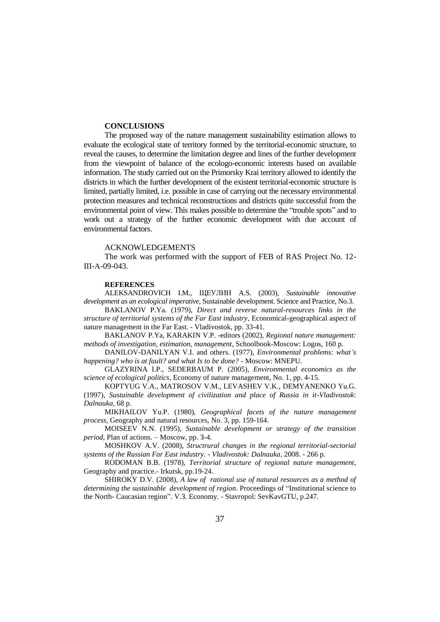### **CONCLUSIONS**

The proposed way of the nature management sustainability estimation allows to evaluate the ecological state of territory formed by the territorial-economic structure, to reveal the causes, to determine the limitation degree and lines of the further development from the viewpoint of balance of the ecologo-economic interests based on available information. The study carried out on the Primorsky Krai territory allowed to identify the districts in which the further development of the existent territorial-economic structure is limited, partially limited, i.e. possible in case of carrying out the necessary environmental protection measures and technical reconstructions and districts quite successful from the environmental point of view. This makes possible to determine the "trouble spots" and to work out a strategy of the further economic development with due account of environmental factors.

### ACKNOWLEDGEMENTS

The work was performed with the support of FEB of RAS Project No. 12- III-А-09-043.

#### **REFERENCES**

ALEKSANDROVICH I.M., ЩЕУЛИН A.S. (2003), *Sustainable innovative development as an ecological imperative*, Sustainable development. Science and Practice, No.3.

BAKLANOV P.Ya. (1979), *Direct and reverse natural-resources links in the structure of territorial systems of the Far East industry*, Economical-geographical aspect of nature management in the Far East. - Vladivostok, pp. 33-41.

BAKLANOV P.Ya, KARAKIN V.P. -editors (2002), *Regional nature management: methods of investigation, estimation, management*, Schoolbook-Moscow: Logos, 160 p.

DANILOV-DANILYAN V.I. and others. (1977), *Environmental problems: what's happening? who is at fault? and what Is to be done?* - Moscow: MNEPU.

GLAZYRINA I.P., SEDERBAUM P. (2005), *Environmental economics as the science of ecological politics*, Economy of nature management, No. 1, pp. 4-15.

KOPTYUG V.A., MATROSOV V.M., LEVASHEV V.K., DEMYANENKO Yu.G. (1997), *Sustainable development of civilization and place of Russia in it-Vladivostok*: *Dalnauka,* 68 p.

MIKHAILOV Yu.P. (1980), *Geographical facets of the nature management process*, Geography and natural resources, No. 3, pp. 159-164.

MOISEEV N.N. (1995), *Sustainable development or strategy of the transition period*, Plan of actions. – Moscow, pp. З-4.

MOSHKOV A.V. (2008), *Structrural changes in the regional territorial-sectorial systems of the Russian Far East industry. - Vladivostok: Dalnauka*, 2008. - 266 p.

RODOMAN B.B. (1978), *Territorial structure of regional nature management*, Geography and practice.- Irkutsk, pp.19-24.

SHIROKY D.V. (2008), *A law of rational use of natural resources as a method of determining the sustainable development of region*. Proceedings of "Institutional science to the North- Caucasian region". V.З. Economy. - Stavropol: SevKavGTU, p.247.